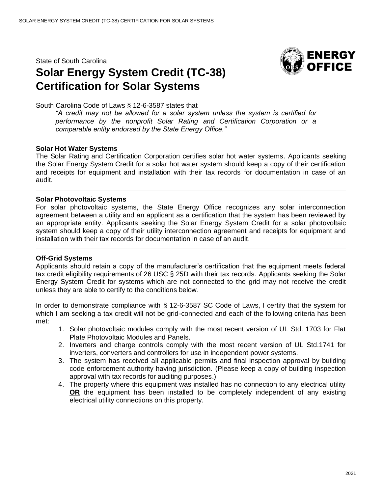State of South Carolina

## **Solar Energy System Credit (TC-38) Certification for Solar Systems**



South Carolina Code of Laws § 12-6-3587 states that

*"A credit may not be allowed for a solar system unless the system is certified for performance by the nonprofit Solar Rating and Certification Corporation or a comparable entity endorsed by the State Energy Office."*

## **Solar Hot Water Systems**

The Solar Rating and Certification Corporation certifies solar hot water systems. Applicants seeking the Solar Energy System Credit for a solar hot water system should keep a copy of their certification and receipts for equipment and installation with their tax records for documentation in case of an audit.

## **Solar Photovoltaic Systems**

For solar photovoltaic systems, the State Energy Office recognizes any solar interconnection agreement between a utility and an applicant as a certification that the system has been reviewed by an appropriate entity. Applicants seeking the Solar Energy System Credit for a solar photovoltaic system should keep a copy of their utility interconnection agreement and receipts for equipment and installation with their tax records for documentation in case of an audit.

## **Off-Grid Systems**

Applicants should retain a copy of the manufacturer's certification that the equipment meets federal tax credit eligibility requirements of 26 USC § 25D with their tax records. Applicants seeking the Solar Energy System Credit for systems which are not connected to the grid may not receive the credit unless they are able to certify to the conditions below.

In order to demonstrate compliance with § 12-6-3587 SC Code of Laws, I certify that the system for which I am seeking a tax credit will not be grid-connected and each of the following criteria has been met:

- 1. Solar photovoltaic modules comply with the most recent version of UL Std. 1703 for Flat Plate Photovoltaic Modules and Panels.
- 2. Inverters and charge controls comply with the most recent version of UL Std.1741 for inverters, converters and controllers for use in independent power systems.
- 3. The system has received all applicable permits and final inspection approval by building code enforcement authority having jurisdiction. (Please keep a copy of building inspection approval with tax records for auditing purposes.)
- 4. The property where this equipment was installed has no connection to any electrical utility **OR** the equipment has been installed to be completely independent of any existing electrical utility connections on this property.